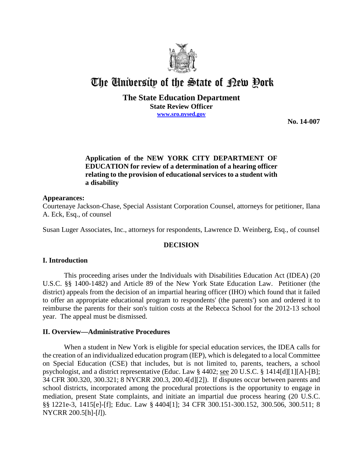

# The University of the State of Pew Pork

## **The State Education Department**

**State Review Officer**

**www.sro.nysed.gov**

**No. 14-007** 

## **Application of the NEW YORK CITY DEPARTMENT OF EDUCATION for review of a determination of a hearing officer relating to the provision of educational services to a student with a disability**

## **Appearances:**

Courtenaye Jackson-Chase, Special Assistant Corporation Counsel, attorneys for petitioner, Ilana A. Eck, Esq., of counsel

Susan Luger Associates, Inc., attorneys for respondents, Lawrence D. Weinberg, Esq., of counsel

## **DECISION**

## **I. Introduction**

This proceeding arises under the Individuals with Disabilities Education Act (IDEA) (20 U.S.C. §§ 1400-1482) and Article 89 of the New York State Education Law. Petitioner (the district) appeals from the decision of an impartial hearing officer (IHO) which found that it failed to offer an appropriate educational program to respondents' (the parents') son and ordered it to reimburse the parents for their son's tuition costs at the Rebecca School for the 2012-13 school year. The appeal must be dismissed.

#### **II. Overview—Administrative Procedures**

When a student in New York is eligible for special education services, the IDEA calls for the creation of an individualized education program (IEP), which is delegated to a local Committee on Special Education (CSE) that includes, but is not limited to, parents, teachers, a school psychologist, and a district representative (Educ. Law § 4402; see 20 U.S.C. § 1414[d][1][A]-[B]; 34 CFR 300.320, 300.321; 8 NYCRR 200.3, 200.4[d][2]). If disputes occur between parents and school districts, incorporated among the procedural protections is the opportunity to engage in mediation, present State complaints, and initiate an impartial due process hearing (20 U.S.C. §§ 1221e-3, 1415[e]-[f]; Educ. Law § 4404[1]; 34 CFR 300.151-300.152, 300.506, 300.511; 8 NYCRR 200.5[h]-[*l*]).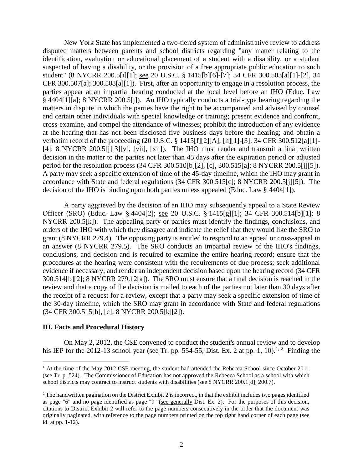New York State has implemented a two-tiered system of administrative review to address disputed matters between parents and school districts regarding "any matter relating to the identification, evaluation or educational placement of a student with a disability, or a student suspected of having a disability, or the provision of a free appropriate public education to such student" (8 NYCRR 200.5[i][1]; see 20 U.S.C. § 1415[b][6]-[7]; 34 CFR 300.503[a][1]-[2], 34 CFR 300.507[a]; 300.508[a][1]). First, after an opportunity to engage in a resolution process, the parties appear at an impartial hearing conducted at the local level before an IHO (Educ. Law § 4404[1][a]; 8 NYCRR 200.5[j]). An IHO typically conducts a trial-type hearing regarding the matters in dispute in which the parties have the right to be accompanied and advised by counsel and certain other individuals with special knowledge or training; present evidence and confront, cross-examine, and compel the attendance of witnesses; prohibit the introduction of any evidence at the hearing that has not been disclosed five business days before the hearing; and obtain a verbatim record of the proceeding (20 U.S.C. § 1415[f][2][A], [h][1]-[3]; 34 CFR 300.512[a][1]- [4]; 8 NYCRR 200.5[j][3][v], [vii], [xii]). The IHO must render and transmit a final written decision in the matter to the parties not later than 45 days after the expiration period or adjusted period for the resolution process (34 CFR 300.510[b][2], [c], 300.515[a]; 8 NYCRR 200.5[j][5]). A party may seek a specific extension of time of the 45-day timeline, which the IHO may grant in accordance with State and federal regulations (34 CFR 300.515[c]; 8 NYCRR 200.5[j][5]). The decision of the IHO is binding upon both parties unless appealed (Educ. Law § 4404[1]).

A party aggrieved by the decision of an IHO may subsequently appeal to a State Review Officer (SRO) (Educ. Law § 4404[2]; see 20 U.S.C. § 1415[g][1]; 34 CFR 300.514[b][1]; 8 NYCRR 200.5[k]). The appealing party or parties must identify the findings, conclusions, and orders of the IHO with which they disagree and indicate the relief that they would like the SRO to grant (8 NYCRR 279.4). The opposing party is entitled to respond to an appeal or cross-appeal in an answer (8 NYCRR 279.5). The SRO conducts an impartial review of the IHO's findings, conclusions, and decision and is required to examine the entire hearing record; ensure that the procedures at the hearing were consistent with the requirements of due process; seek additional evidence if necessary; and render an independent decision based upon the hearing record (34 CFR 300.514[b][2]; 8 NYCRR 279.12[a]). The SRO must ensure that a final decision is reached in the review and that a copy of the decision is mailed to each of the parties not later than 30 days after the receipt of a request for a review, except that a party may seek a specific extension of time of the 30-day timeline, which the SRO may grant in accordance with State and federal regulations (34 CFR 300.515[b], [c]; 8 NYCRR 200.5[k][2]).

#### **III. Facts and Procedural History**

On May 2, 2012, the CSE convened to conduct the student's annual review and to develop his IEP for the 2012-13 school year (see Tr. pp. 554-55; Dist. Ex. 2 at pp. 1, 10).<sup>1, 2</sup> Finding the

 $1$  At the time of the May 2012 CSE meeting, the student had attended the Rebecca School since October 2011 (see Tr. p. 524). The Commissioner of Education has not approved the Rebecca School as a school with which school districts may contract to instruct students with disabilities (see 8 NYCRR 200.1[d], 200.7).

 $2$  The handwritten pagination on the District Exhibit 2 is incorrect, in that the exhibit includes two pages identified as page "6" and no page identified as page "9" (see generally Dist. Ex. 2). For the purposes of this decision, citations to District Exhibit 2 will refer to the page numbers consecutively in the order that the document was originally paginated, with reference to the page numbers printed on the top right hand corner of each page (see id. at pp. 1-12).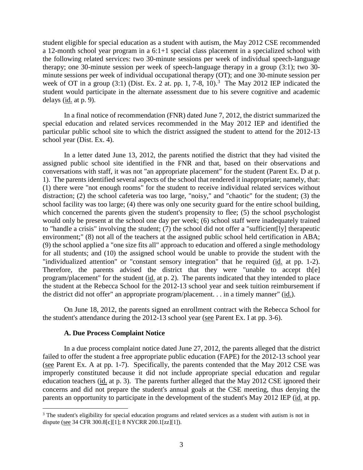student eligible for special education as a student with autism, the May 2012 CSE recommended a 12-month school year program in a 6:1+1 special class placement in a specialized school with the following related services: two 30-minute sessions per week of individual speech-language therapy; one 30-minute session per week of speech-language therapy in a group (3:1); two 30 minute sessions per week of individual occupational therapy (OT); and one 30-minute session per week of OT in a group (3:1) (Dist. Ex. 2 at. pp. 1, 7-8,  $10^{13}$ . The May 2012 IEP indicated the student would participate in the alternate assessment due to his severe cognitive and academic delays (id. at p. 9).

In a final notice of recommendation (FNR) dated June 7, 2012, the district summarized the special education and related services recommended in the May 2012 IEP and identified the particular public school site to which the district assigned the student to attend for the 2012-13 school year (Dist. Ex. 4).

In a letter dated June 13, 2012, the parents notified the district that they had visited the assigned public school site identified in the FNR and that, based on their observations and conversations with staff, it was not "an appropriate placement" for the student (Parent Ex. D at p. 1). The parents identified several aspects of the school that rendered it inappropriate; namely, that: (1) there were "not enough rooms" for the student to receive individual related services without distraction; (2) the school cafeteria was too large, "noisy," and "chaotic" for the student; (3) the school facility was too large; (4) there was only one security guard for the entire school building, which concerned the parents given the student's propensity to flee; (5) the school psychologist would only be present at the school one day per week; (6) school staff were inadequately trained to "handle a crisis" involving the student; (7) the school did not offer a "sufficient[ly] therapeutic environment;" (8) not all of the teachers at the assigned public school held certification in ABA; (9) the school applied a "one size fits all" approach to education and offered a single methodology for all students; and (10) the assigned school would be unable to provide the student with the "individualized attention" or "constant sensory integration" that he required (id. at pp. 1-2). Therefore, the parents advised the district that they were "unable to accept th[e] program/placement" for the student (id. at p. 2). The parents indicated that they intended to place the student at the Rebecca School for the 2012-13 school year and seek tuition reimbursement if the district did not offer" an appropriate program/placement. . . in a timely manner" (id.).

On June 18, 2012, the parents signed an enrollment contract with the Rebecca School for the student's attendance during the 2012-13 school year (see Parent Ex. I at pp. 3-6).

#### **A. Due Process Complaint Notice**

In a due process complaint notice dated June 27, 2012, the parents alleged that the district failed to offer the student a free appropriate public education (FAPE) for the 2012-13 school year (see Parent Ex. A at pp. 1-7). Specifically, the parents contended that the May 2012 CSE was improperly constituted because it did not include appropriate special education and regular education teachers (id. at p. 3). The parents further alleged that the May 2012 CSE ignored their concerns and did not prepare the student's annual goals at the CSE meeting, thus denying the parents an opportunity to participate in the development of the student's May 2012 IEP (id. at pp.

<sup>&</sup>lt;sup>3</sup> The student's eligibility for special education programs and related services as a student with autism is not in dispute (see 34 CFR 300.8[c][1]; 8 NYCRR 200.1[zz][1]).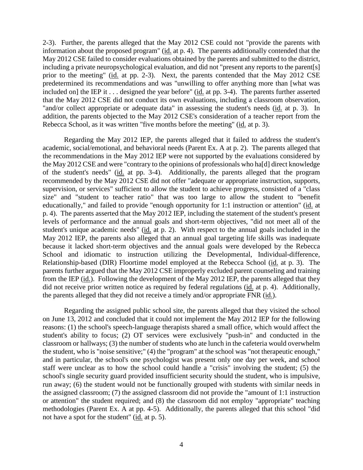2-3). Further, the parents alleged that the May 2012 CSE could not "provide the parents with information about the proposed program" (id. at p. 4). The parents additionally contended that the May 2012 CSE failed to consider evaluations obtained by the parents and submitted to the district, including a private neuropsychological evaluation, and did not "present any reports to the parent[s] prior to the meeting" (id. at pp. 2-3). Next, the parents contended that the May 2012 CSE predetermined its recommendations and was "unwilling to offer anything more than [what was included on] the IEP it . . . designed the year before" (id. at pp. 3-4). The parents further asserted that the May 2012 CSE did not conduct its own evaluations, including a classroom observation, "and/or collect appropriate or adequate data" in assessing the student's needs (id. at p. 3). In addition, the parents objected to the May 2012 CSE's consideration of a teacher report from the Rebecca School, as it was written "five months before the meeting" (id. at p. 3).

Regarding the May 2012 IEP, the parents alleged that it failed to address the student's academic, social/emotional, and behavioral needs (Parent Ex. A at p. 2). The parents alleged that the recommendations in the May 2012 IEP were not supported by the evaluations considered by the May 2012 CSE and were "contrary to the opinions of professionals who ha[d] direct knowledge of the student's needs" (id. at pp. 3-4). Additionally, the parents alleged that the program recommended by the May 2012 CSE did not offer "adequate or appropriate instruction, supports, supervision, or services" sufficient to allow the student to achieve progress, consisted of a "class size" and "student to teacher ratio" that was too large to allow the student to "benefit educationally," and failed to provide "enough opportunity for 1:1 instruction or attention" (id. at p. 4). The parents asserted that the May 2012 IEP, including the statement of the student's present levels of performance and the annual goals and short-term objectives, "did not meet all of the student's unique academic needs" (id. at p. 2). With respect to the annual goals included in the May 2012 IEP, the parents also alleged that an annual goal targeting life skills was inadequate because it lacked short-term objectives and the annual goals were developed by the Rebecca School and idiomatic to instruction utilizing the Developmental, Individual-difference, Relationship-based (DIR) Floortime model employed at the Rebecca School (id. at p. 3). The parents further argued that the May 2012 CSE improperly excluded parent counseling and training from the IEP (id.). Following the development of the May 2012 IEP, the parents alleged that they did not receive prior written notice as required by federal regulations (id. at p. 4). Additionally, the parents alleged that they did not receive a timely and/or appropriate FNR (id.).

Regarding the assigned public school site, the parents alleged that they visited the school on June 13, 2012 and concluded that it could not implement the May 2012 IEP for the following reasons: (1) the school's speech-language therapists shared a small office, which would affect the student's ability to focus; (2) OT services were exclusively "push-in" and conducted in the classroom or hallways; (3) the number of students who ate lunch in the cafeteria would overwhelm the student, who is "noise sensitive;" (4) the "program" at the school was "not therapeutic enough," and in particular, the school's one psychologist was present only one day per week, and school staff were unclear as to how the school could handle a "crisis" involving the student; (5) the school's single security guard provided insufficient security should the student, who is impulsive, run away; (6) the student would not be functionally grouped with students with similar needs in the assigned classroom; (7) the assigned classroom did not provide the "amount of 1:1 instruction or attention" the student required; and (8) the classroom did not employ "appropriate" teaching methodologies (Parent Ex. A at pp. 4-5). Additionally, the parents alleged that this school "did not have a spot for the student" (id. at p. 5).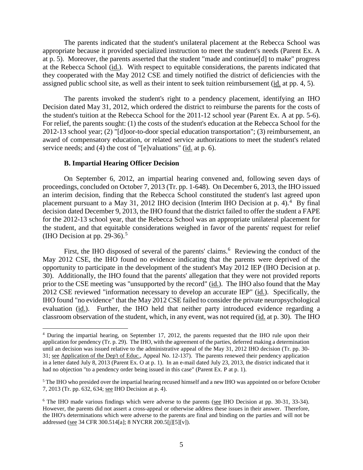The parents indicated that the student's unilateral placement at the Rebecca School was appropriate because it provided specialized instruction to meet the student's needs (Parent Ex. A at p. 5). Moreover, the parents asserted that the student "made and continue[d] to make" progress at the Rebecca School (id.). With respect to equitable considerations, the parents indicated that they cooperated with the May 2012 CSE and timely notified the district of deficiencies with the assigned public school site, as well as their intent to seek tuition reimbursement (id. at pp. 4, 5).

The parents invoked the student's right to a pendency placement, identifying an IHO Decision dated May 31, 2012, which ordered the district to reimburse the parents for the costs of the student's tuition at the Rebecca School for the 2011-12 school year (Parent Ex. A at pp. 5-6). For relief, the parents sought: (1) the costs of the student's education at the Rebecca School for the 2012-13 school year; (2) "[d]oor-to-door special education transportation"; (3) reimbursement, an award of compensatory education, or related service authorizations to meet the student's related service needs; and (4) the cost of "[e]valuations" (id. at p. 6).

#### **B. Impartial Hearing Officer Decision**

On September 6, 2012, an impartial hearing convened and, following seven days of proceedings, concluded on October 7, 2013 (Tr. pp. 1-648). On December 6, 2013, the IHO issued an interim decision, finding that the Rebecca School constituted the student's last agreed upon placement pursuant to a May 31, 2012 IHO decision (Interim IHO Decision at p. 4).<sup>4</sup> By final decision dated December 9, 2013, the IHO found that the district failed to offer the student a FAPE for the 2012-13 school year, that the Rebecca School was an appropriate unilateral placement for the student, and that equitable considerations weighed in favor of the parents' request for relief (IHO Decision at pp. 29-36).<sup>5</sup>

First, the IHO disposed of several of the parents' claims.<sup>6</sup> Reviewing the conduct of the May 2012 CSE, the IHO found no evidence indicating that the parents were deprived of the opportunity to participate in the development of the student's May 2012 IEP (IHO Decision at p. 30). Additionally, the IHO found that the parents' allegation that they were not provided reports prior to the CSE meeting was "unsupported by the record" (id.). The IHO also found that the May 2012 CSE reviewed "information necessary to develop an accurate IEP" (id.). Specifically, the IHO found "no evidence" that the May 2012 CSE failed to consider the private neuropsychological evaluation (id.). Further, the IHO held that neither party introduced evidence regarding a classroom observation of the student, which, in any event, was not required (id. at p. 30). The IHO

 <sup>4</sup> During the impartial hearing, on September 17, 2012, the parents requested that the IHO rule upon their application for pendency (Tr. p. 29). The IHO, with the agreement of the parties, deferred making a determination until an decision was issued relative to the administrative appeal of the May 31, 2012 IHO decision (Tr. pp. 30- 31; see Application of the Dep't of Educ., Appeal No. 12-137). The parents renewed their pendency application in a letter dated July 8, 2013 (Parent Ex. O at p. 1). In an e-mail dated July 23, 2013, the district indicated that it had no objection "to a pendency order being issued in this case" (Parent Ex. P at p. 1).

<sup>5</sup> The IHO who presided over the impartial hearing recused himself and a new IHO was appointed on or before October 7, 2013 (Tr. pp. 632, 634; see IHO Decision at p. 4).

<sup>&</sup>lt;sup>6</sup> The IHO made various findings which were adverse to the parents (see IHO Decision at pp. 30-31, 33-34). However, the parents did not assert a cross-appeal or otherwise address these issues in their answer. Therefore, the IHO's determinations which were adverse to the parents are final and binding on the parties and will not be addressed (see 34 CFR 300.514[a]; 8 NYCRR 200.5[j][5][v]).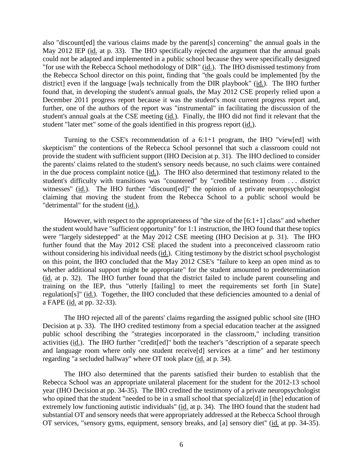also "discount[ed] the various claims made by the parent[s] concerning" the annual goals in the May 2012 IEP (id. at p. 33). The IHO specifically rejected the argument that the annual goals could not be adapted and implemented in a public school because they were specifically designed "for use with the Rebecca School methodology of DIR" (id.). The IHO dismissed testimony from the Rebecca School director on this point, finding that "the goals could be implemented [by the district] even if the language [wa]s technically from the DIR playbook" (id.). The IHO further found that, in developing the student's annual goals, the May 2012 CSE properly relied upon a December 2011 progress report because it was the student's most current progress report and, further, one of the authors of the report was "instrumental" in facilitating the discussion of the student's annual goals at the CSE meeting (id.). Finally, the IHO did not find it relevant that the student "later met" some of the goals identified in this progress report (id.).

Turning to the CSE's recommendation of a 6:1+1 program, the IHO "view[ed] with skepticism" the contentions of the Rebecca School personnel that such a classroom could not provide the student with sufficient support (IHO Decision at p. 31). The IHO declined to consider the parents' claims related to the student's sensory needs because, no such claims were contained in the due process complaint notice (id.). The IHO also determined that testimony related to the student's difficulty with transitions was "countered" by "credible testimony from . . . district witnesses" (id.). The IHO further "discount [ed]" the opinion of a private neuropsychologist claiming that moving the student from the Rebecca School to a public school would be "detrimental" for the student (id.).

However, with respect to the appropriateness of "the size of the [6:1+1] class" and whether the student would have "sufficient opportunity" for 1:1 instruction, the IHO found that these topics were "largely sidestepped" at the May 2012 CSE meeting (IHO Decision at p. 31). The IHO further found that the May 2012 CSE placed the student into a preconceived classroom ratio without considering his individual needs (id.). Citing testimony by the district school psychologist on this point, the IHO concluded that the May 2012 CSE's "failure to keep an open mind as to whether additional support might be appropriate" for the student amounted to predetermination (id. at p. 32). The IHO further found that the district failed to include parent counseling and training on the IEP, thus "utterly [failing] to meet the requirements set forth [in State] regulation[s]" (id.). Together, the IHO concluded that these deficiencies amounted to a denial of a FAPE (id. at pp. 32-33).

The IHO rejected all of the parents' claims regarding the assigned public school site (IHO Decision at p. 33). The IHO credited testimony from a special education teacher at the assigned public school describing the "strategies incorporated in the classroom," including transition activities (id.). The IHO further "credit[ed]" both the teacher's "description of a separate speech and language room where only one student receive[d] services at a time" and her testimony regarding "a secluded hallway" where OT took place (id. at p. 34).

The IHO also determined that the parents satisfied their burden to establish that the Rebecca School was an appropriate unilateral placement for the student for the 2012-13 school year (IHO Decision at pp. 34-35). The IHO credited the testimony of a private neuropsychologist who opined that the student "needed to be in a small school that specialize<sup>[d]</sup> in [the] education of extremely low functioning autistic individuals" (id. at p. 34). The IHO found that the student had substantial OT and sensory needs that were appropriately addressed at the Rebecca School through OT services, "sensory gyms, equipment, sensory breaks, and [a] sensory diet" (id. at pp. 34-35).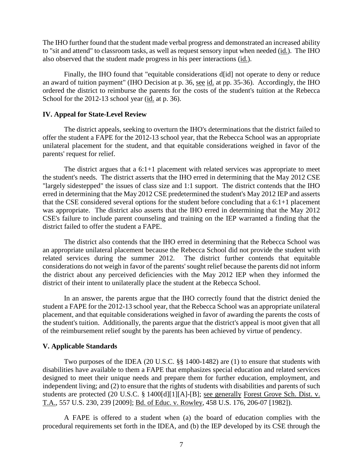The IHO further found that the student made verbal progress and demonstrated an increased ability to "sit and attend" to classroom tasks, as well as request sensory input when needed (id.). The IHO also observed that the student made progress in his peer interactions (id.).

Finally, the IHO found that "equitable considerations d[id] not operate to deny or reduce an award of tuition payment" (IHO Decision at p. 36, see id. at pp. 35-36). Accordingly, the IHO ordered the district to reimburse the parents for the costs of the student's tuition at the Rebecca School for the 2012-13 school year (id. at p. 36).

## **IV. Appeal for State-Level Review**

The district appeals, seeking to overturn the IHO's determinations that the district failed to offer the student a FAPE for the 2012-13 school year, that the Rebecca School was an appropriate unilateral placement for the student, and that equitable considerations weighed in favor of the parents' request for relief.

The district argues that a 6:1+1 placement with related services was appropriate to meet the student's needs. The district asserts that the IHO erred in determining that the May 2012 CSE "largely sidestepped" the issues of class size and 1:1 support. The district contends that the IHO erred in determining that the May 2012 CSE predetermined the student's May 2012 IEP and asserts that the CSE considered several options for the student before concluding that a 6:1+1 placement was appropriate. The district also asserts that the IHO erred in determining that the May 2012 CSE's failure to include parent counseling and training on the IEP warranted a finding that the district failed to offer the student a FAPE.

The district also contends that the IHO erred in determining that the Rebecca School was an appropriate unilateral placement because the Rebecca School did not provide the student with related services during the summer 2012. The district further contends that equitable considerations do not weigh in favor of the parents' sought relief because the parents did not inform the district about any perceived deficiencies with the May 2012 IEP when they informed the district of their intent to unilaterally place the student at the Rebecca School.

In an answer, the parents argue that the IHO correctly found that the district denied the student a FAPE for the 2012-13 school year, that the Rebecca School was an appropriate unilateral placement, and that equitable considerations weighed in favor of awarding the parents the costs of the student's tuition. Additionally, the parents argue that the district's appeal is moot given that all of the reimbursement relief sought by the parents has been achieved by virtue of pendency.

## **V. Applicable Standards**

Two purposes of the IDEA (20 U.S.C. §§ 1400-1482) are (1) to ensure that students with disabilities have available to them a FAPE that emphasizes special education and related services designed to meet their unique needs and prepare them for further education, employment, and independent living; and (2) to ensure that the rights of students with disabilities and parents of such students are protected (20 U.S.C. § 1400[d][1][A]-[B]; see generally Forest Grove Sch. Dist. v. T.A., 557 U.S. 230, 239 [2009]; Bd. of Educ. v. Rowley, 458 U.S. 176, 206-07 [1982]).

A FAPE is offered to a student when (a) the board of education complies with the procedural requirements set forth in the IDEA, and (b) the IEP developed by its CSE through the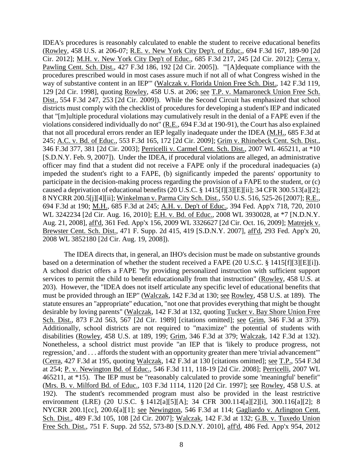IDEA's procedures is reasonably calculated to enable the student to receive educational benefits (Rowley, 458 U.S. at 206-07; R.E. v. New York City Dep't. of Educ., 694 F.3d 167, 189-90 [2d Cir. 2012]; M.H. v. New York City Dep't of Educ., 685 F.3d 217, 245 [2d Cir. 2012]; Cerra v. Pawling Cent. Sch. Dist., 427 F.3d 186, 192 [2d Cir. 2005]). "'[A]dequate compliance with the procedures prescribed would in most cases assure much if not all of what Congress wished in the way of substantive content in an IEP'" (Walczak v. Florida Union Free Sch. Dist., 142 F.3d 119, 129 [2d Cir. 1998], quoting Rowley, 458 U.S. at 206; see T.P. v. Mamaroneck Union Free Sch. Dist., 554 F.3d 247, 253 [2d Cir. 2009]). While the Second Circuit has emphasized that school districts must comply with the checklist of procedures for developing a student's IEP and indicated that "[m]ultiple procedural violations may cumulatively result in the denial of a FAPE even if the violations considered individually do not" (R.E., 694 F.3d at 190-91), the Court has also explained that not all procedural errors render an IEP legally inadequate under the IDEA (M.H., 685 F.3d at 245; A.C. v. Bd. of Educ., 553 F.3d 165, 172 [2d Cir. 2009]; Grim v. Rhinebeck Cent. Sch. Dist., 346 F.3d 377, 381 [2d Cir. 2003]; Perricelli v. Carmel Cent. Sch. Dist., 2007 WL 465211, at \*10 [S.D.N.Y. Feb. 9, 2007]). Under the IDEA, if procedural violations are alleged, an administrative officer may find that a student did not receive a FAPE only if the procedural inadequacies (a) impeded the student's right to a FAPE, (b) significantly impeded the parents' opportunity to participate in the decision-making process regarding the provision of a FAPE to the student, or (c) caused a deprivation of educational benefits (20 U.S.C. § 1415[f][3][E][ii]; 34 CFR 300.513[a][2]; 8 NYCRR 200.5[j][4][ii]; Winkelman v. Parma City Sch. Dist., 550 U.S. 516, 525-26 [2007]; R.E., 694 F.3d at 190; M.H., 685 F.3d at 245; A.H. v. Dep't of Educ., 394 Fed. App'x 718, 720, 2010 WL 3242234 [2d Cir. Aug. 16, 2010]; E.H. v. Bd. of Educ., 2008 WL 3930028, at \*7 [N.D.N.Y. Aug. 21, 2008], aff'd, 361 Fed. App'x 156, 2009 WL 3326627 [2d Cir. Oct. 16, 2009]; Matrejek v. Brewster Cent. Sch. Dist., 471 F. Supp. 2d 415, 419 [S.D.N.Y. 2007], aff'd, 293 Fed. App'x 20, 2008 WL 3852180 [2d Cir. Aug. 19, 2008]).

The IDEA directs that, in general, an IHO's decision must be made on substantive grounds based on a determination of whether the student received a FAPE (20 U.S.C. § 1415[f][3][E][i]). A school district offers a FAPE "by providing personalized instruction with sufficient support services to permit the child to benefit educationally from that instruction" (Rowley, 458 U.S. at 203). However, the "IDEA does not itself articulate any specific level of educational benefits that must be provided through an IEP" (Walczak, 142 F.3d at 130; see Rowley, 458 U.S. at 189). The statute ensures an "appropriate" education, "not one that provides everything that might be thought desirable by loving parents" (Walczak, 142 F.3d at 132, quoting Tucker v. Bay Shore Union Free Sch. Dist., 873 F.2d 563, 567 [2d Cir. 1989] [citations omitted]; see Grim, 346 F.3d at 379). Additionally, school districts are not required to "maximize" the potential of students with disabilities (Rowley, 458 U.S. at 189, 199; Grim, 346 F.3d at 379; Walczak, 142 F.3d at 132). Nonetheless, a school district must provide "an IEP that is 'likely to produce progress, not regression,' and . . . affords the student with an opportunity greater than mere 'trivial advancement'" (Cerra, 427 F.3d at 195, quoting Walczak, 142 F.3d at 130 [citations omitted]; see T.P., 554 F.3d at 254; P. v. Newington Bd. of Educ., 546 F.3d 111, 118-19 [2d Cir. 2008]; Perricelli, 2007 WL 465211, at \*15). The IEP must be "reasonably calculated to provide some 'meaningful' benefit" (Mrs. B. v. Milford Bd. of Educ., 103 F.3d 1114, 1120 [2d Cir. 1997]; see Rowley, 458 U.S. at 192). The student's recommended program must also be provided in the least restrictive environment (LRE) (20 U.S.C. § 1412[a][5][A]; 34 CFR 300.114[a][2][i], 300.116[a][2]; 8 NYCRR 200.1[cc], 200.6[a][1]; see Newington, 546 F.3d at 114; Gagliardo v. Arlington Cent. Sch. Dist., 489 F.3d 105, 108 [2d Cir. 2007]; Walczak, 142 F.3d at 132; G.B. v. Tuxedo Union Free Sch. Dist., 751 F. Supp. 2d 552, 573-80 [S.D.N.Y. 2010], aff'd, 486 Fed. App'x 954, 2012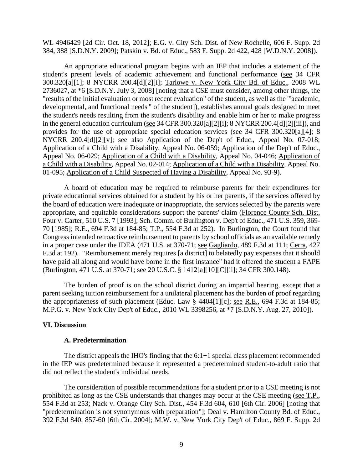WL 4946429 [2d Cir. Oct. 18, 2012]; E.G. v. City Sch. Dist. of New Rochelle, 606 F. Supp. 2d 384, 388 [S.D.N.Y. 2009]; Patskin v. Bd. of Educ., 583 F. Supp. 2d 422, 428 [W.D.N.Y. 2008]).

An appropriate educational program begins with an IEP that includes a statement of the student's present levels of academic achievement and functional performance (see 34 CFR 300.320[a][1]; 8 NYCRR 200.4[d][2][i]; Tarlowe v. New York City Bd. of Educ., 2008 WL 2736027, at \*6 [S.D.N.Y. July 3, 2008] [noting that a CSE must consider, among other things, the "results of the initial evaluation or most recent evaluation" of the student, as well as the "'academic, developmental, and functional needs'" of the student]), establishes annual goals designed to meet the student's needs resulting from the student's disability and enable him or her to make progress in the general education curriculum (see 34 CFR 300.320[a][2][i]; 8 NYCRR 200.4[d][2][iii]), and provides for the use of appropriate special education services (see 34 CFR 300.320[a][4]; 8 NYCRR 200.4[d][2][v]; see also Application of the Dep't of Educ., Appeal No. 07-018; Application of a Child with a Disability, Appeal No. 06-059; Application of the Dep't of Educ., Appeal No. 06-029; Application of a Child with a Disability, Appeal No. 04-046; Application of a Child with a Disability, Appeal No. 02-014; Application of a Child with a Disability, Appeal No. 01-095; Application of a Child Suspected of Having a Disability, Appeal No. 93-9).

A board of education may be required to reimburse parents for their expenditures for private educational services obtained for a student by his or her parents, if the services offered by the board of education were inadequate or inappropriate, the services selected by the parents were appropriate, and equitable considerations support the parents' claim (Florence County Sch. Dist. Four v. Carter, 510 U.S. 7 [1993]; Sch. Comm. of Burlington v. Dep't of Educ., 471 U.S. 359, 369- 70 [1985]; R.E., 694 F.3d at 184-85; T.P., 554 F.3d at 252). In Burlington, the Court found that Congress intended retroactive reimbursement to parents by school officials as an available remedy in a proper case under the IDEA (471 U.S. at 370-71; see Gagliardo, 489 F.3d at 111; Cerra, 427 F.3d at 192). "Reimbursement merely requires [a district] to belatedly pay expenses that it should have paid all along and would have borne in the first instance" had it offered the student a FAPE (Burlington, 471 U.S. at 370-71; see 20 U.S.C. § 1412[a][10][C][ii]; 34 CFR 300.148).

The burden of proof is on the school district during an impartial hearing, except that a parent seeking tuition reimbursement for a unilateral placement has the burden of proof regarding the appropriateness of such placement (Educ. Law § 4404[1][c]; see R.E., 694 F.3d at 184-85; M.P.G. v. New York City Dep't of Educ., 2010 WL 3398256, at \*7 [S.D.N.Y. Aug. 27, 2010]).

## **VI. Discussion**

#### **A. Predetermination**

The district appeals the IHO's finding that the 6:1+1 special class placement recommended in the IEP was predetermined because it represented a predetermined student-to-adult ratio that did not reflect the student's individual needs.

The consideration of possible recommendations for a student prior to a CSE meeting is not prohibited as long as the CSE understands that changes may occur at the CSE meeting (see T.P., 554 F.3d at 253; Nack v. Orange City Sch. Dist., 454 F.3d 604, 610 [6th Cir. 2006] [noting that "predetermination is not synonymous with preparation"]; Deal v. Hamilton County Bd. of Educ., 392 F.3d 840, 857-60 [6th Cir. 2004]; M.W. v. New York City Dep't of Educ., 869 F. Supp. 2d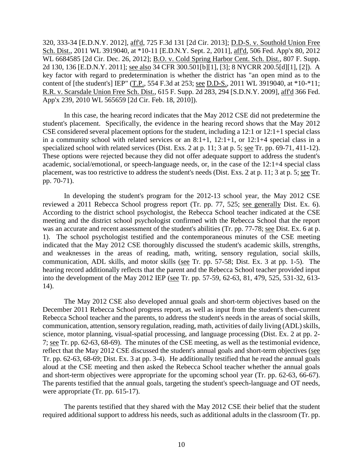320, 333-34 [E.D.N.Y. 2012], aff'd, 725 F.3d 131 [2d Cir. 2013]; D.D-S. v. Southold Union Free Sch. Dist., 2011 WL 3919040, at \*10-11 [E.D.N.Y. Sept. 2, 2011], aff'd, 506 Fed. App'x 80, 2012 WL 6684585 [2d Cir. Dec. 26, 2012]; B.O. v. Cold Spring Harbor Cent. Sch. Dist., 807 F. Supp. 2d 130, 136 [E.D.N.Y. 2011]; see also 34 CFR 300.501[b][1], [3]; 8 NYCRR 200.5[d][1], [2]). A key factor with regard to predetermination is whether the district has "an open mind as to the content of [the student's] IEP" (T.P., 554 F.3d at 253; <u>see D.D-S.</u>, 2011 WL 3919040, at \*10-\*11; R.R. v. Scarsdale Union Free Sch. Dist., 615 F. Supp. 2d 283, 294 [S.D.N.Y. 2009], aff'd 366 Fed. App'x 239, 2010 WL 565659 [2d Cir. Feb. 18, 2010]).

In this case, the hearing record indicates that the May 2012 CSE did not predetermine the student's placement. Specifically, the evidence in the hearing record shows that the May 2012 CSE considered several placement options for the student, including a 12:1 or 12:1+1 special class in a community school with related services or an 8:1+1, 12:1+1, or 12:1+4 special class in a specialized school with related services (Dist. Exs. 2 at p. 11; 3 at p. 5; see Tr. pp. 69-71, 411-12). These options were rejected because they did not offer adequate support to address the student's academic, social/emotional, or speech-language needs, or, in the case of the 12:1+4 special class placement, was too restrictive to address the student's needs (Dist. Exs. 2 at p. 11; 3 at p. 5; see Tr. pp. 70-71).

In developing the student's program for the 2012-13 school year, the May 2012 CSE reviewed a 2011 Rebecca School progress report (Tr. pp. 77, 525; see generally Dist. Ex. 6). According to the district school psychologist, the Rebecca School teacher indicated at the CSE meeting and the district school psychologist confirmed with the Rebecca School that the report was an accurate and recent assessment of the student's abilities (Tr. pp. 77-78; see Dist. Ex. 6 at p. 1). The school psychologist testified and the contemporaneous minutes of the CSE meeting indicated that the May 2012 CSE thoroughly discussed the student's academic skills, strengths, and weaknesses in the areas of reading, math, writing, sensory regulation, social skills, communication, ADL skills, and motor skills (see Tr. pp. 57-58; Dist. Ex. 3 at pp. 1-5). The hearing record additionally reflects that the parent and the Rebecca School teacher provided input into the development of the May 2012 IEP (see Tr. pp. 57-59, 62-63, 81, 479, 525, 531-32, 613- 14).

The May 2012 CSE also developed annual goals and short-term objectives based on the December 2011 Rebecca School progress report, as well as input from the student's then-current Rebecca School teacher and the parents, to address the student's needs in the areas of social skills, communication, attention, sensory regulation, reading, math, activities of daily living (ADL) skills, science, motor planning, visual-spatial processing, and language processing (Dist. Ex. 2 at pp. 2- 7; see Tr. pp. 62-63, 68-69). The minutes of the CSE meeting, as well as the testimonial evidence, reflect that the May 2012 CSE discussed the student's annual goals and short-term objectives (see Tr. pp. 62-63, 68-69; Dist. Ex. 3 at pp. 3-4). He additionally testified that he read the annual goals aloud at the CSE meeting and then asked the Rebecca School teacher whether the annual goals and short-term objectives were appropriate for the upcoming school year (Tr. pp. 62-63, 66-67). The parents testified that the annual goals, targeting the student's speech-language and OT needs, were appropriate (Tr. pp. 615-17).

The parents testified that they shared with the May 2012 CSE their belief that the student required additional support to address his needs, such as additional adults in the classroom (Tr. pp.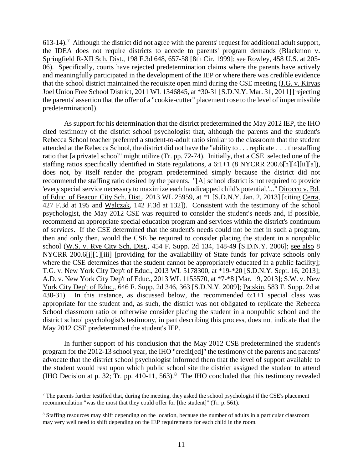613-14).<sup>7</sup> Although the district did not agree with the parents' request for additional adult support, the IDEA does not require districts to accede to parents' program demands (Blackmon v. Springfield R-XII Sch. Dist., 198 F.3d 648, 657-58 [8th Cir. 1999]; see Rowley, 458 U.S. at 205- 06). Specifically, courts have rejected predetermination claims where the parents have actively and meaningfully participated in the development of the IEP or where there was credible evidence that the school district maintained the requisite open mind during the CSE meeting (J.G. v. Kiryas Joel Union Free School District, 2011 WL 1346845, at \*30-31 [S.D.N.Y. Mar. 31, 2011] [rejecting the parents' assertion that the offer of a "cookie-cutter" placement rose to the level of impermissible predetermination]).

As support for his determination that the district predetermined the May 2012 IEP, the IHO cited testimony of the district school psychologist that, although the parents and the student's Rebecca School teacher preferred a student-to-adult ratio similar to the classroom that the student attended at the Rebecca School, the district did not have the "ability to . . . replicate . . . the staffing ratio that [a private] school" might utilize (Tr. pp. 72-74). Initially, that a CSE selected one of the staffing ratios specifically identified in State regulations, a 6:1+1 (8 NYCRR 200.6[h][4][ii][a]), does not, by itself render the program predetermined simply because the district did not recommend the staffing ratio desired by the parents. "[A] school district is not required to provide 'every special service necessary to maximize each handicapped child's potential,'..." Dirocco v. Bd. of Educ. of Beacon City Sch. Dist., 2013 WL 25959, at \*1 [S.D.N.Y. Jan. 2, 2013] [citing Cerra, 427 F.3d at 195 and Walczak, 142 F.3d at 132]). Consistent with the testimony of the school psychologist, the May 2012 CSE was required to consider the student's needs and, if possible, recommend an appropriate special education program and services within the district's continuum of services. If the CSE determined that the student's needs could not be met in such a program, then and only then, would the CSE be required to consider placing the student in a nonpublic school (W.S. v. Rye City Sch. Dist., 454 F. Supp. 2d 134, 148-49 [S.D.N.Y. 2006]; see also 8 NYCRR 200.6[j][1][iii] [providing for the availability of State funds for private schools only where the CSE determines that the student cannot be appropriately educated in a public facility]; T.G. v. New York City Dep't of Educ., 2013 WL 5178300, at \*19-\*20 [S.D.N.Y. Sept. 16, 2013]; A.D. v. New York City Dep't of Educ., 2013 WL 1155570, at \*7-\*8 [Mar. 19, 2013]; S.W. v. New York City Dep't of Educ., 646 F. Supp. 2d 346, 363 [S.D.N.Y. 2009]; Patskin, 583 F. Supp. 2d at 430-31). In this instance, as discussed below, the recommended 6:1+1 special class was appropriate for the student and, as such, the district was not obligated to replicate the Rebecca School classroom ratio or otherwise consider placing the student in a nonpublic school and the district school psychologist's testimony, in part describing this process, does not indicate that the May 2012 CSE predetermined the student's IEP.

In further support of his conclusion that the May 2012 CSE predetermined the student's program for the 2012-13 school year, the IHO "credit[ed]" the testimony of the parents and parents' advocate that the district school psychologist informed them that the level of support available to the student would rest upon which public school site the district assigned the student to attend (IHO Decision at p. 32; Tr. pp. 410-11, 563).<sup>8</sup> The IHO concluded that this testimony revealed

 $<sup>7</sup>$  The parents further testified that, during the meeting, they asked the school psychologist if the CSE's placement</sup> recommendation "was the most that they could offer for [the student]" (Tr. p. 561).

<sup>8</sup> Staffing resources may shift depending on the location, because the number of adults in a particular classroom may very well need to shift depending on the IEP requirements for each child in the room.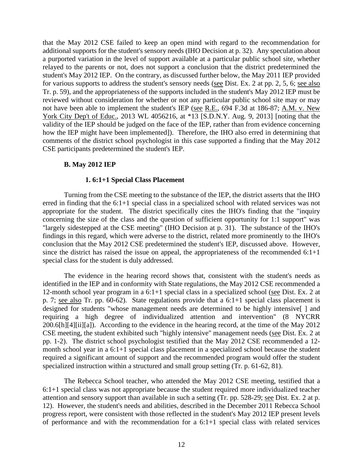that the May 2012 CSE failed to keep an open mind with regard to the recommendation for additional supports for the student's sensory needs (IHO Decision at p. 32). Any speculation about a purported variation in the level of support available at a particular public school site, whether relayed to the parents or not, does not support a conclusion that the district predetermined the student's May 2012 IEP. On the contrary, as discussed further below, the May 2011 IEP provided for various supports to address the student's sensory needs (see Dist. Ex. 2 at pp. 2, 5, 6; see also Tr. p. 59), and the appropriateness of the supports included in the student's May 2012 IEP must be reviewed without consideration for whether or not any particular public school site may or may not have been able to implement the student's IEP (see R.E., 694 F.3d at 186-87; A.M. v. New York City Dep't of Educ., 2013 WL 4056216, at \*13 [S.D.N.Y. Aug. 9, 2013] [noting that the validity of the IEP should be judged on the face of the IEP, rather than from evidence concerning how the IEP might have been implemented]). Therefore, the IHO also erred in determining that comments of the district school psychologist in this case supported a finding that the May 2012 CSE participants predetermined the student's IEP.

#### **B. May 2012 IEP**

#### **1. 6:1+1 Special Class Placement**

Turning from the CSE meeting to the substance of the IEP, the district asserts that the IHO erred in finding that the  $6:1+1$  special class in a specialized school with related services was not appropriate for the student. The district specifically cites the IHO's finding that the "inquiry concerning the size of the class and the question of sufficient opportunity for 1:1 support" was "largely sidestepped at the CSE meeting" (IHO Decision at p. 31). The substance of the IHO's findings in this regard, which were adverse to the district, related more prominently to the IHO's conclusion that the May 2012 CSE predetermined the student's IEP, discussed above. However, since the district has raised the issue on appeal, the appropriateness of the recommended  $6:1+1$ special class for the student is duly addressed.

The evidence in the hearing record shows that, consistent with the student's needs as identified in the IEP and in conformity with State regulations, the May 2012 CSE recommended a 12-month school year program in a 6:1+1 special class in a specialized school (see Dist. Ex. 2 at p. 7; see also Tr. pp. 60-62). State regulations provide that a 6:1+1 special class placement is designed for students "whose management needs are determined to be highly intensive[ ] and requiring a high degree of individualized attention and intervention" (8 NYCRR 200.6[h][4][ii][a]). According to the evidence in the hearing record, at the time of the May 2012 CSE meeting, the student exhibited such "highly intensive" management needs (see Dist. Ex. 2 at pp. 1-2). The district school psychologist testified that the May 2012 CSE recommended a 12 month school year in a 6:1+1 special class placement in a specialized school because the student required a significant amount of support and the recommended program would offer the student specialized instruction within a structured and small group setting (Tr. p. 61-62, 81).

The Rebecca School teacher, who attended the May 2012 CSE meeting, testified that a 6:1+1 special class was not appropriate because the student required more individualized teacher attention and sensory support than available in such a setting (Tr. pp. 528-29; see Dist. Ex. 2 at p. 12). However, the student's needs and abilities, described in the December 2011 Rebecca School progress report, were consistent with those reflected in the student's May 2012 IEP present levels of performance and with the recommendation for a 6:1+1 special class with related services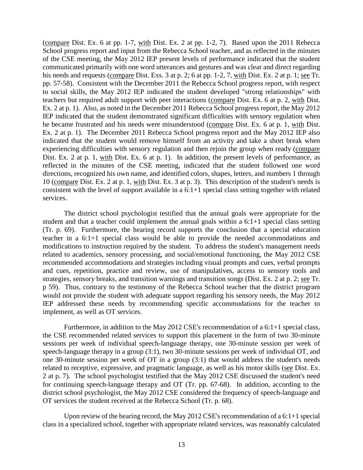(compare Dist. Ex. 6 at pp. 1-7, with Dist. Ex. 2 at pp. 1-2, 7). Based upon the 2011 Rebecca School progress report and input from the Rebecca School teacher, and as reflected in the minutes of the CSE meeting, the May 2012 IEP present levels of performance indicated that the student communicated primarily with one word utterances and gestures and was clear and direct regarding his needs and requests (compare Dist. Exs. 3 at p. 2; 6 at pp. 1-2, 7, with Dist. Ex. 2 at p. 1; see Tr. pp. 57-58). Consistent with the December 2011 the Rebecca School progress report, with respect to social skills, the May 2012 IEP indicated the student developed "strong relationships" with teachers but required adult support with peer interactions (compare Dist. Ex. 6 at p. 2, with Dist. Ex. 2 at p. 1). Also, as noted in the December 2011 Rebecca School progress report, the May 2012 IEP indicated that the student demonstrated significant difficulties with sensory regulation when he became frustrated and his needs were misunderstood (compare Dist. Ex. 6 at p. 1, with Dist. Ex. 2 at p. 1). The December 2011 Rebecca School progress report and the May 2012 IEP also indicated that the student would remove himself from an activity and take a short break when experiencing difficulties with sensory regulation and then rejoin the group when ready (compare Dist. Ex. 2 at p. 1, with Dist. Ex. 6 at p. 1). In addition, the present levels of performance, as reflected in the minutes of the CSE meeting, indicated that the student followed one word directions, recognized his own name, and identified colors, shapes, letters, and numbers 1 through 10 (compare Dist. Ex. 2 at p. 1, with Dist. Ex. 3 at p. 3). This description of the student's needs is consistent with the level of support available in a 6:1+1 special class setting together with related services.

The district school psychologist testified that the annual goals were appropriate for the student and that a teacher could implement the annual goals within a 6:1+1 special class setting (Tr. p. 69). Furthermore, the hearing record supports the conclusion that a special education teacher in a 6:1+1 special class would be able to provide the needed accommodations and modifications to instruction required by the student. To address the student's management needs related to academics, sensory processing, and social/emotional functioning, the May 2012 CSE recommended accommodations and strategies including visual prompts and cues, verbal prompts and cues, repetition, practice and review, use of manipulatives, access to sensory tools and strategies, sensory breaks, and transition warnings and transition songs (Dist. Ex. 2 at p. 2; see Tr. p 59). Thus, contrary to the testimony of the Rebecca School teacher that the district program would not provide the student with adequate support regarding his sensory needs, the May 2012 IEP addressed these needs by recommending specific accommodations for the teacher to implement, as well as OT services.

Furthermore, in addition to the May 2012 CSE's recommendation of a 6:1+1 special class, the CSE recommended related services to support this placement in the form of two 30-minute sessions per week of individual speech-language therapy, one 30-minute session per week of speech-language therapy in a group (3:1), two 30-minute sessions per week of individual OT, and one 30-minute session per week of OT in a group (3:1) that would address the student's needs related to receptive, expressive, and pragmatic language, as well as his motor skills (see Dist. Ex. 2 at p. 7). The school psychologist testified that the May 2012 CSE discussed the student's need for continuing speech-language therapy and OT (Tr. pp. 67-68). In addition, according to the district school psychologist, the May 2012 CSE considered the frequency of speech-language and OT services the student received at the Rebecca School (Tr. p. 68).

Upon review of the hearing record, the May 2012 CSE's recommendation of a 6:1+1 special class in a specialized school, together with appropriate related services, was reasonably calculated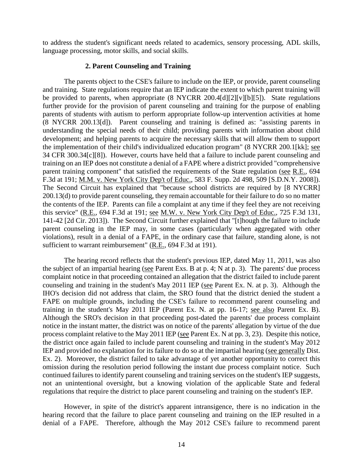to address the student's significant needs related to academics, sensory processing, ADL skills, language processing, motor skills, and social skills.

## **2. Parent Counseling and Training**

The parents object to the CSE's failure to include on the IEP, or provide, parent counseling and training. State regulations require that an IEP indicate the extent to which parent training will be provided to parents, when appropriate (8 NYCRR 200.4[d][2][v][b][5]). State regulations further provide for the provision of parent counseling and training for the purpose of enabling parents of students with autism to perform appropriate follow-up intervention activities at home (8 NYCRR 200.13[d]). Parent counseling and training is defined as: "assisting parents in understanding the special needs of their child; providing parents with information about child development; and helping parents to acquire the necessary skills that will allow them to support the implementation of their child's individualized education program" (8 NYCRR 200.1[kk]; see 34 CFR 300.34[c][8]). However, courts have held that a failure to include parent counseling and training on an IEP does not constitute a denial of a FAPE where a district provided "comprehensive parent training component" that satisfied the requirements of the State regulation (see R.E., 694 F.3d at 191; M.M. v. New York City Dep't of Educ., 583 F. Supp. 2d 498, 509 [S.D.N.Y. 2008]). The Second Circuit has explained that "because school districts are required by [8 NYCRR] 200.13(d) to provide parent counseling, they remain accountable for their failure to do so no matter the contents of the IEP. Parents can file a complaint at any time if they feel they are not receiving this service" (R.E., 694 F.3d at 191; see M.W. v. New York City Dep't of Educ., 725 F.3d 131, 141-42 [2d Cir. 2013]). The Second Circuit further explained that "[t]hough the failure to include parent counseling in the IEP may, in some cases (particularly when aggregated with other violations), result in a denial of a FAPE, in the ordinary case that failure, standing alone, is not sufficient to warrant reimbursement" (R.E., 694 F.3d at 191).

The hearing record reflects that the student's previous IEP, dated May 11, 2011, was also the subject of an impartial hearing (see Parent Exs. B at p. 4; N at p. 3). The parents' due process complaint notice in that proceeding contained an allegation that the district failed to include parent counseling and training in the student's May 2011 IEP (see Parent Ex. N. at p. 3). Although the IHO's decision did not address that claim, the SRO found that the district denied the student a FAPE on multiple grounds, including the CSE's failure to recommend parent counseling and training in the student's May 2011 IEP (Parent Ex. N. at pp. 16-17; see also Parent Ex. B). Although the SRO's decision in that proceeding post-dated the parents' due process complaint notice in the instant matter, the district was on notice of the parents' allegation by virtue of the due process complaint relative to the May 2011 IEP (see Parent Ex. N at pp. 3, 23). Despite this notice, the district once again failed to include parent counseling and training in the student's May 2012 IEP and provided no explanation for its failure to do so at the impartial hearing (see generally Dist. Ex. 2). Moreover, the district failed to take advantage of yet another opportunity to correct this omission during the resolution period following the instant due process complaint notice. Such continued failures to identify parent counseling and training services on the student's IEP suggests, not an unintentional oversight, but a knowing violation of the applicable State and federal regulations that require the district to place parent counseling and training on the student's IEP.

However, in spite of the district's apparent intransigence, there is no indication in the hearing record that the failure to place parent counseling and training on the IEP resulted in a denial of a FAPE. Therefore, although the May 2012 CSE's failure to recommend parent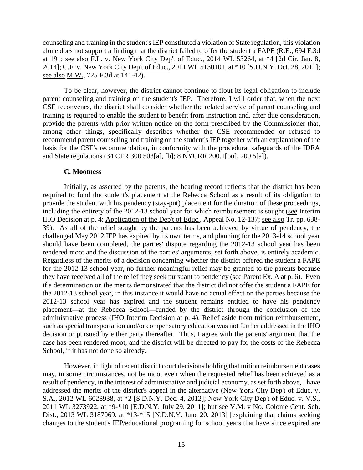counseling and training in the student's IEP constituted a violation of State regulation, this violation alone does not support a finding that the district failed to offer the student a FAPE (R.E., 694 F.3d at 191; see also F.L. v. New York City Dep't of Educ., 2014 WL 53264, at \*4 [2d Cir. Jan. 8, 2014]; C.F. v. New York City Dep't of Educ., 2011 WL 5130101, at \*10 [S.D.N.Y. Oct. 28, 2011]; see also M.W., 725 F.3d at 141-42).

To be clear, however, the district cannot continue to flout its legal obligation to include parent counseling and training on the student's IEP. Therefore, I will order that, when the next CSE reconvenes, the district shall consider whether the related service of parent counseling and training is required to enable the student to benefit from instruction and, after due consideration, provide the parents with prior written notice on the form prescribed by the Commissioner that, among other things, specifically describes whether the CSE recommended or refused to recommend parent counseling and training on the student's IEP together with an explanation of the basis for the CSE's recommendation, in conformity with the procedural safeguards of the IDEA and State regulations (34 CFR 300.503[a], [b]; 8 NYCRR 200.1[oo], 200.5[a]).

#### **C. Mootness**

Initially, as asserted by the parents, the hearing record reflects that the district has been required to fund the student's placement at the Rebecca School as a result of its obligation to provide the student with his pendency (stay-put) placement for the duration of these proceedings, including the entirety of the 2012-13 school year for which reimbursement is sought (see Interim IHO Decision at p. 4; Application of the Dep't of Educ., Appeal No. 12-137; see also Tr. pp. 638- 39). As all of the relief sought by the parents has been achieved by virtue of pendency, the challenged May 2012 IEP has expired by its own terms, and planning for the 2013-14 school year should have been completed, the parties' dispute regarding the 2012-13 school year has been rendered moot and the discussion of the parties' arguments, set forth above, is entirely academic. Regardless of the merits of a decision concerning whether the district offered the student a FAPE for the 2012-13 school year, no further meaningful relief may be granted to the parents because they have received all of the relief they seek pursuant to pendency (see Parent Ex. A at p. 6). Even if a determination on the merits demonstrated that the district did not offer the student a FAPE for the 2012-13 school year, in this instance it would have no actual effect on the parties because the 2012-13 school year has expired and the student remains entitled to have his pendency placement—at the Rebecca School—funded by the district through the conclusion of the administrative process (IHO Interim Decision at p. 4). Relief aside from tuition reimbursement, such as special transportation and/or compensatory education was not further addressed in the IHO decision or pursued by either party thereafter. Thus, I agree with the parents' argument that the case has been rendered moot, and the district will be directed to pay for the costs of the Rebecca School, if it has not done so already.

However, in light of recent district court decisions holding that tuition reimbursement cases may, in some circumstances, not be moot even when the requested relief has been achieved as a result of pendency, in the interest of administrative and judicial economy, as set forth above, I have addressed the merits of the district's appeal in the alternative (New York City Dep't of Educ. v. S.A., 2012 WL 6028938, at \*2 [S.D.N.Y. Dec. 4, 2012]; New York City Dep't of Educ. v. V.S., 2011 WL 3273922, at \*9-\*10 [E.D.N.Y. July 29, 2011]; but see V.M. v No. Colonie Cent. Sch. Dist., 2013 WL 3187069, at \*13-\*15 [N.D.N.Y. June 20, 2013] [explaining that claims seeking changes to the student's IEP/educational programing for school years that have since expired are